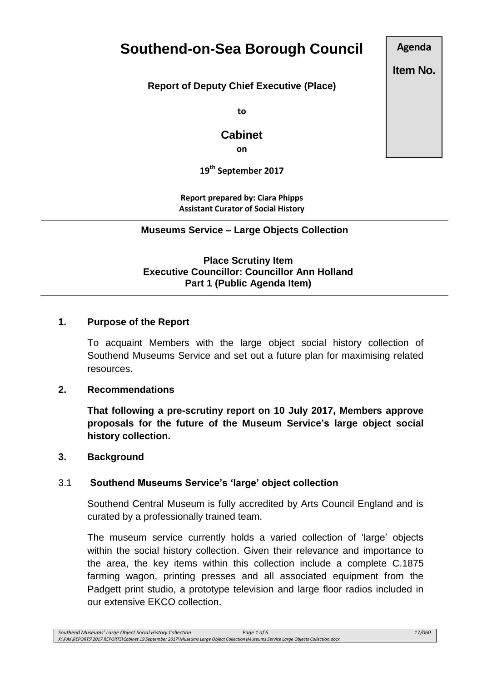# **Southend-on-Sea Borough Council**

**Report of Deputy Chief Executive (Place)**

**to**

# **Cabinet**

**on**

**19th September 2017**

**Report prepared by: Ciara Phipps Assistant Curator of Social History**

**Museums Service – Large Objects Collection**

**Place Scrutiny Item Executive Councillor: Councillor Ann Holland Part 1 (Public Agenda Item)** 

## **1. Purpose of the Report**

To acquaint Members with the large object social history collection of Southend Museums Service and set out a future plan for maximising related resources.

#### **2. Recommendations**

**That following a pre-scrutiny report on 10 July 2017, Members approve proposals for the future of the Museum Service's large object social history collection.** 

#### **3. Background**

## 3.1 **Southend Museums Service's 'large' object collection**

Southend Central Museum is fully accredited by Arts Council England and is curated by a professionally trained team.

The museum service currently holds a varied collection of 'large' objects within the social history collection. Given their relevance and importance to the area, the key items within this collection include a complete C.1875 farming wagon, printing presses and all associated equipment from the Padgett print studio, a prototype television and large floor radios included in our extensive EKCO collection.

**Agenda**

**Item No.**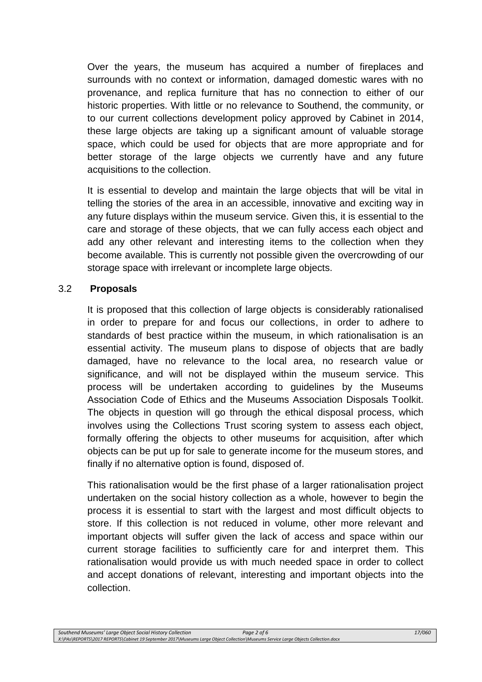Over the years, the museum has acquired a number of fireplaces and surrounds with no context or information, damaged domestic wares with no provenance, and replica furniture that has no connection to either of our historic properties. With little or no relevance to Southend, the community, or to our current collections development policy approved by Cabinet in 2014, these large objects are taking up a significant amount of valuable storage space, which could be used for objects that are more appropriate and for better storage of the large objects we currently have and any future acquisitions to the collection.

It is essential to develop and maintain the large objects that will be vital in telling the stories of the area in an accessible, innovative and exciting way in any future displays within the museum service. Given this, it is essential to the care and storage of these objects, that we can fully access each object and add any other relevant and interesting items to the collection when they become available. This is currently not possible given the overcrowding of our storage space with irrelevant or incomplete large objects.

## 3.2 **Proposals**

It is proposed that this collection of large objects is considerably rationalised in order to prepare for and focus our collections, in order to adhere to standards of best practice within the museum, in which rationalisation is an essential activity. The museum plans to dispose of objects that are badly damaged, have no relevance to the local area, no research value or significance, and will not be displayed within the museum service. This process will be undertaken according to guidelines by the Museums Association Code of Ethics and the Museums Association Disposals Toolkit. The objects in question will go through the ethical disposal process, which involves using the Collections Trust scoring system to assess each object, formally offering the objects to other museums for acquisition, after which objects can be put up for sale to generate income for the museum stores, and finally if no alternative option is found, disposed of.

This rationalisation would be the first phase of a larger rationalisation project undertaken on the social history collection as a whole, however to begin the process it is essential to start with the largest and most difficult objects to store. If this collection is not reduced in volume, other more relevant and important objects will suffer given the lack of access and space within our current storage facilities to sufficiently care for and interpret them. This rationalisation would provide us with much needed space in order to collect and accept donations of relevant, interesting and important objects into the collection.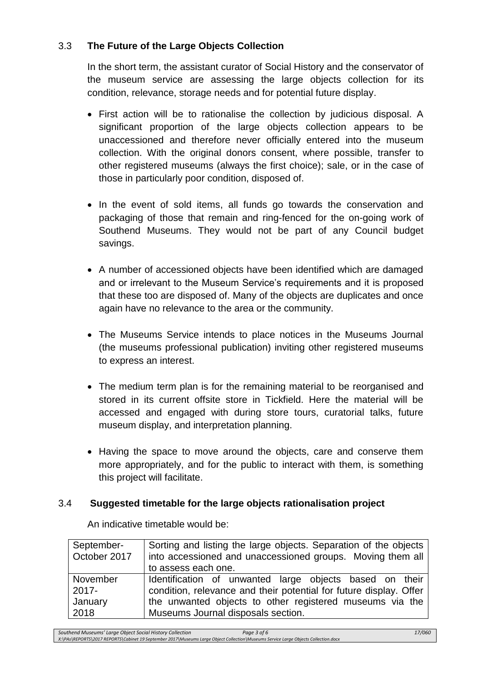## 3.3 **The Future of the Large Objects Collection**

In the short term, the assistant curator of Social History and the conservator of the museum service are assessing the large objects collection for its condition, relevance, storage needs and for potential future display.

- First action will be to rationalise the collection by judicious disposal. A significant proportion of the large objects collection appears to be unaccessioned and therefore never officially entered into the museum collection. With the original donors consent, where possible, transfer to other registered museums (always the first choice); sale, or in the case of those in particularly poor condition, disposed of.
- In the event of sold items, all funds go towards the conservation and packaging of those that remain and ring-fenced for the on-going work of Southend Museums. They would not be part of any Council budget savings.
- A number of accessioned objects have been identified which are damaged and or irrelevant to the Museum Service's requirements and it is proposed that these too are disposed of. Many of the objects are duplicates and once again have no relevance to the area or the community.
- The Museums Service intends to place notices in the Museums Journal (the museums professional publication) inviting other registered museums to express an interest.
- The medium term plan is for the remaining material to be reorganised and stored in its current offsite store in Tickfield. Here the material will be accessed and engaged with during store tours, curatorial talks, future museum display, and interpretation planning.
- Having the space to move around the objects, care and conserve them more appropriately, and for the public to interact with them, is something this project will facilitate.

## 3.4 **Suggested timetable for the large objects rationalisation project**

| September-   | Sorting and listing the large objects. Separation of the objects   |
|--------------|--------------------------------------------------------------------|
| October 2017 | into accessioned and unaccessioned groups. Moving them all         |
|              | to assess each one.                                                |
| November     | Identification of unwanted large objects based on their            |
| $2017 -$     | condition, relevance and their potential for future display. Offer |
| January      | the unwanted objects to other registered museums via the           |
| 2018         | Museums Journal disposals section.                                 |

An indicative timetable would be: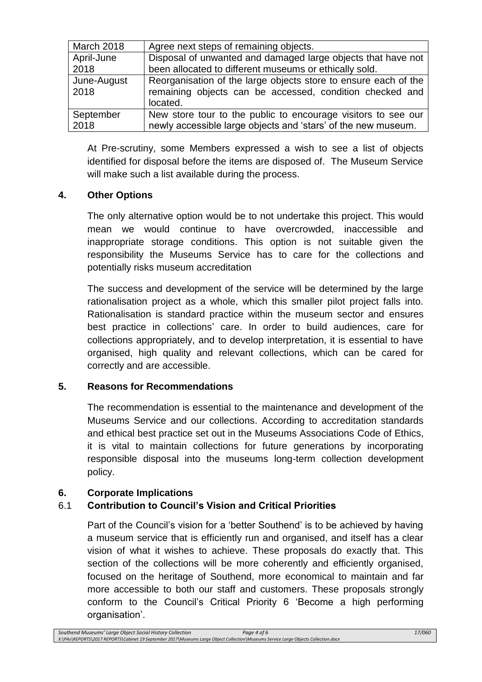| <b>March 2018</b> | Agree next steps of remaining objects.                          |
|-------------------|-----------------------------------------------------------------|
| April-June        | Disposal of unwanted and damaged large objects that have not    |
| 2018              | been allocated to different museums or ethically sold.          |
| June-August       | Reorganisation of the large objects store to ensure each of the |
| 2018              | remaining objects can be accessed, condition checked and        |
|                   | located.                                                        |
| September         | New store tour to the public to encourage visitors to see our   |
| 2018              | newly accessible large objects and 'stars' of the new museum.   |

At Pre-scrutiny, some Members expressed a wish to see a list of objects identified for disposal before the items are disposed of. The Museum Service will make such a list available during the process.

## **4. Other Options**

The only alternative option would be to not undertake this project. This would mean we would continue to have overcrowded, inaccessible and inappropriate storage conditions. This option is not suitable given the responsibility the Museums Service has to care for the collections and potentially risks museum accreditation

The success and development of the service will be determined by the large rationalisation project as a whole, which this smaller pilot project falls into. Rationalisation is standard practice within the museum sector and ensures best practice in collections' care. In order to build audiences, care for collections appropriately, and to develop interpretation, it is essential to have organised, high quality and relevant collections, which can be cared for correctly and are accessible.

## **5. Reasons for Recommendations**

The recommendation is essential to the maintenance and development of the Museums Service and our collections. According to accreditation standards and ethical best practice set out in the Museums Associations Code of Ethics, it is vital to maintain collections for future generations by incorporating responsible disposal into the museums long-term collection development policy.

## **6. Corporate Implications**

## 6.1 **Contribution to Council's Vision and Critical Priorities**

Part of the Council's vision for a 'better Southend' is to be achieved by having a museum service that is efficiently run and organised, and itself has a clear vision of what it wishes to achieve. These proposals do exactly that. This section of the collections will be more coherently and efficiently organised, focused on the heritage of Southend, more economical to maintain and far more accessible to both our staff and customers. These proposals strongly conform to the Council's Critical Priority 6 'Become a high performing organisation'.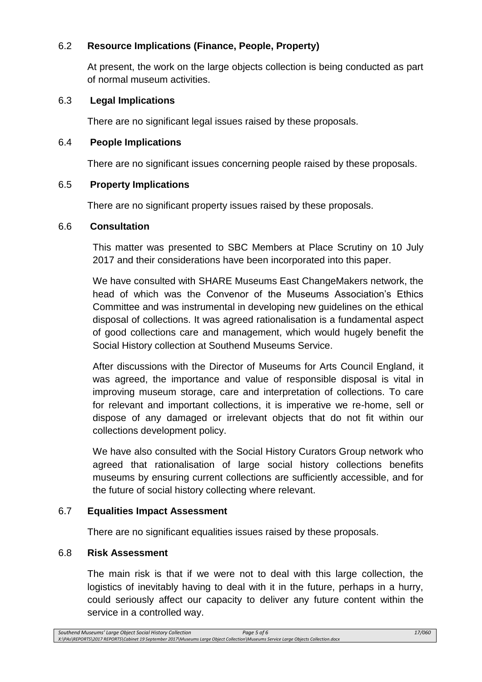## 6.2 **Resource Implications (Finance, People, Property)**

At present, the work on the large objects collection is being conducted as part of normal museum activities.

## 6.3 **Legal Implications**

There are no significant legal issues raised by these proposals.

## 6.4 **People Implications**

There are no significant issues concerning people raised by these proposals.

## 6.5 **Property Implications**

There are no significant property issues raised by these proposals.

## 6.6 **Consultation**

This matter was presented to SBC Members at Place Scrutiny on 10 July 2017 and their considerations have been incorporated into this paper.

We have consulted with SHARE Museums East ChangeMakers network, the head of which was the Convenor of the Museums Association's Ethics Committee and was instrumental in developing new guidelines on the ethical disposal of collections. It was agreed rationalisation is a fundamental aspect of good collections care and management, which would hugely benefit the Social History collection at Southend Museums Service.

After discussions with the Director of Museums for Arts Council England, it was agreed, the importance and value of responsible disposal is vital in improving museum storage, care and interpretation of collections. To care for relevant and important collections, it is imperative we re-home, sell or dispose of any damaged or irrelevant objects that do not fit within our collections development policy.

We have also consulted with the Social History Curators Group network who agreed that rationalisation of large social history collections benefits museums by ensuring current collections are sufficiently accessible, and for the future of social history collecting where relevant.

## 6.7 **Equalities Impact Assessment**

There are no significant equalities issues raised by these proposals.

## 6.8 **Risk Assessment**

The main risk is that if we were not to deal with this large collection, the logistics of inevitably having to deal with it in the future, perhaps in a hurry, could seriously affect our capacity to deliver any future content within the service in a controlled way.